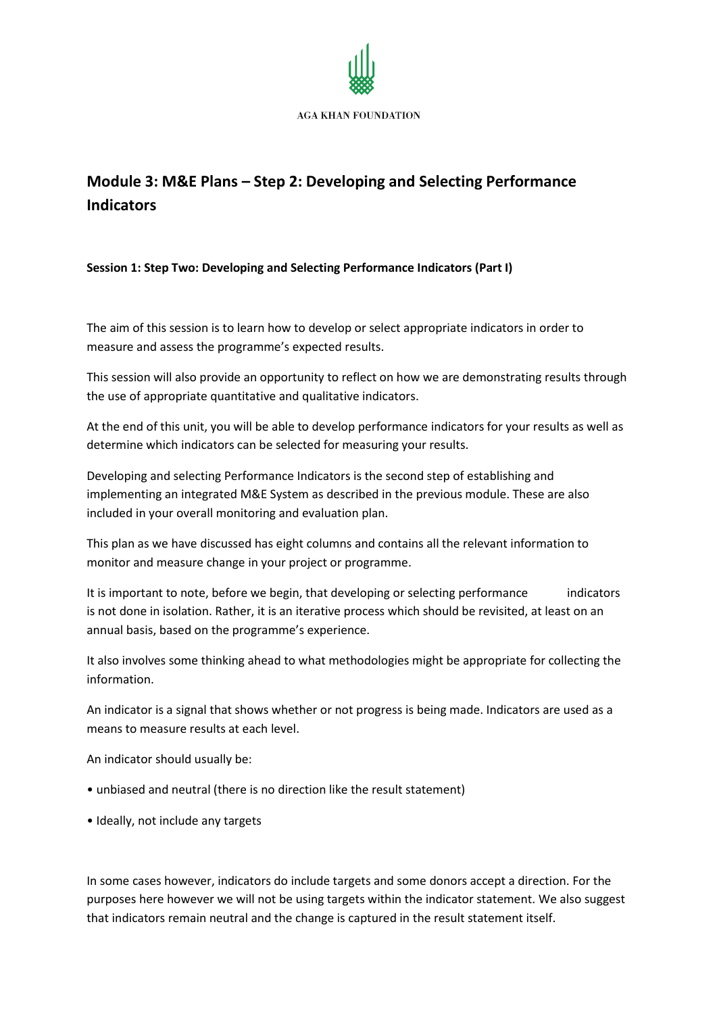

# **Module 3: M&E Plans – Step 2: Developing and Selecting Performance Indicators**

# **Session 1: Step Two: Developing and Selecting Performance Indicators (Part I)**

The aim of this session is to learn how to develop or select appropriate indicators in order to measure and assess the programme's expected results.

This session will also provide an opportunity to reflect on how we are demonstrating results through the use of appropriate quantitative and qualitative indicators.

At the end of this unit, you will be able to develop performance indicators for your results as well as determine which indicators can be selected for measuring your results.

Developing and selecting Performance Indicators is the second step of establishing and implementing an integrated M&E System as described in the previous module. These are also included in your overall monitoring and evaluation plan.

This plan as we have discussed has eight columns and contains all the relevant information to monitor and measure change in your project or programme.

It is important to note, before we begin, that developing or selecting performance indicators is not done in isolation. Rather, it is an iterative process which should be revisited, at least on an annual basis, based on the programme's experience.

It also involves some thinking ahead to what methodologies might be appropriate for collecting the information.

An indicator is a signal that shows whether or not progress is being made. Indicators are used as a means to measure results at each level.

An indicator should usually be:

- unbiased and neutral (there is no direction like the result statement)
- Ideally, not include any targets

In some cases however, indicators do include targets and some donors accept a direction. For the purposes here however we will not be using targets within the indicator statement. We also suggest that indicators remain neutral and the change is captured in the result statement itself.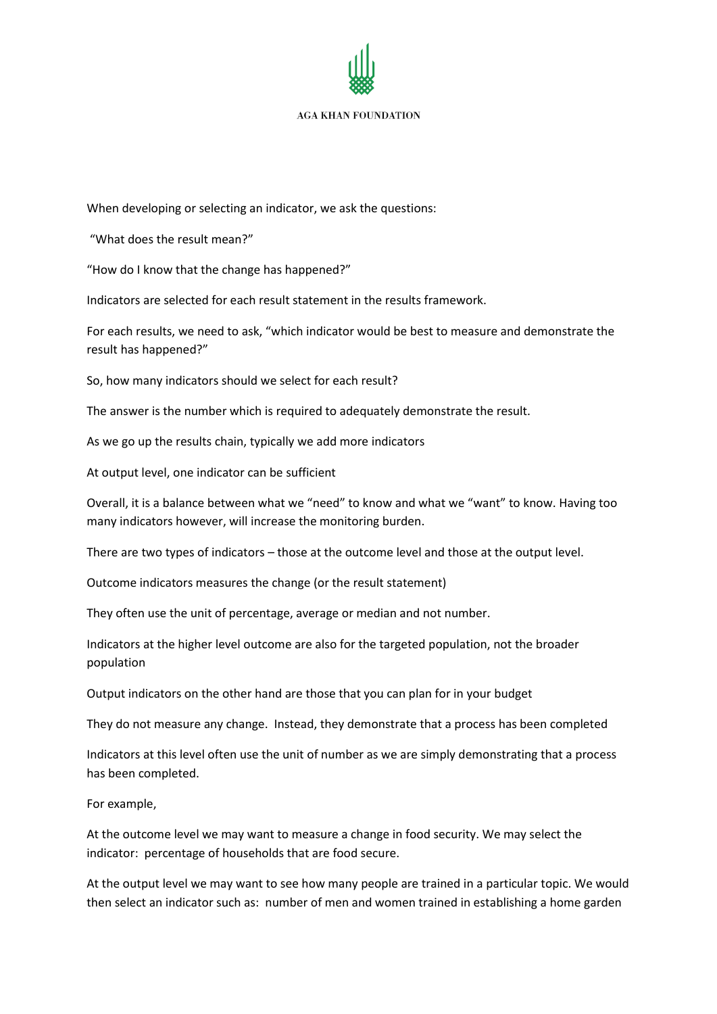

When developing or selecting an indicator, we ask the questions:

"What does the result mean?"

"How do I know that the change has happened?"

Indicators are selected for each result statement in the results framework.

For each results, we need to ask, "which indicator would be best to measure and demonstrate the result has happened?"

So, how many indicators should we select for each result?

The answer is the number which is required to adequately demonstrate the result.

As we go up the results chain, typically we add more indicators

At output level, one indicator can be sufficient

Overall, it is a balance between what we "need" to know and what we "want" to know. Having too many indicators however, will increase the monitoring burden.

There are two types of indicators – those at the outcome level and those at the output level.

Outcome indicators measures the change (or the result statement)

They often use the unit of percentage, average or median and not number.

Indicators at the higher level outcome are also for the targeted population, not the broader population

Output indicators on the other hand are those that you can plan for in your budget

They do not measure any change. Instead, they demonstrate that a process has been completed

Indicators at this level often use the unit of number as we are simply demonstrating that a process has been completed.

For example,

At the outcome level we may want to measure a change in food security. We may select the indicator: percentage of households that are food secure.

At the output level we may want to see how many people are trained in a particular topic. We would then select an indicator such as: number of men and women trained in establishing a home garden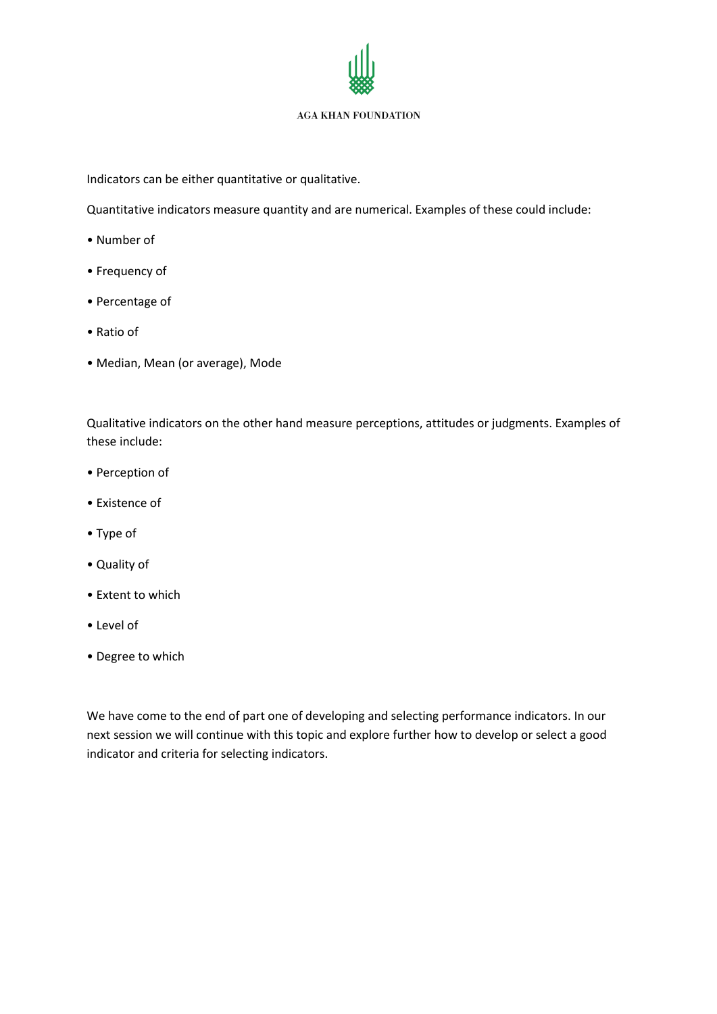Indicators can be either quantitative or qualitative.

Quantitative indicators measure quantity and are numerical. Examples of these could include:

- Number of
- Frequency of
- Percentage of
- Ratio of
- Median, Mean (or average), Mode

Qualitative indicators on the other hand measure perceptions, attitudes or judgments. Examples of these include:

- Perception of
- Existence of
- Type of
- Quality of
- Extent to which
- Level of
- Degree to which

We have come to the end of part one of developing and selecting performance indicators. In our next session we will continue with this topic and explore further how to develop or select a good indicator and criteria for selecting indicators.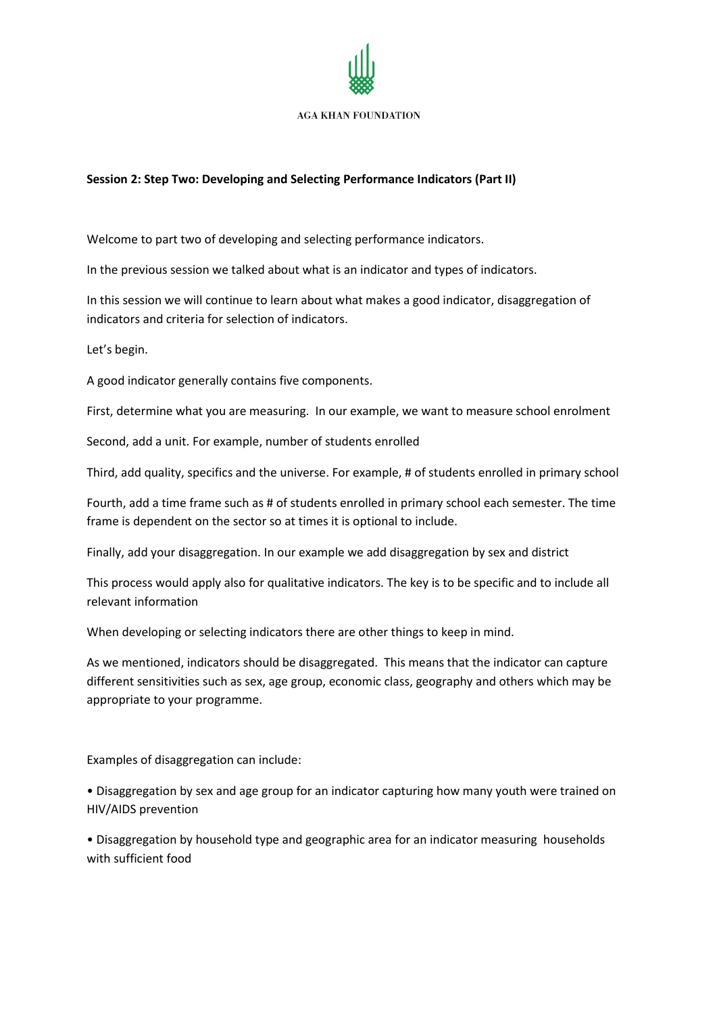

# **Session 2: Step Two: Developing and Selecting Performance Indicators (Part II)**

Welcome to part two of developing and selecting performance indicators.

In the previous session we talked about what is an indicator and types of indicators.

In this session we will continue to learn about what makes a good indicator, disaggregation of indicators and criteria for selection of indicators.

Let's begin.

A good indicator generally contains five components.

First, determine what you are measuring. In our example, we want to measure school enrolment

Second, add a unit. For example, number of students enrolled

Third, add quality, specifics and the universe. For example, # of students enrolled in primary school

Fourth, add a time frame such as # of students enrolled in primary school each semester. The time frame is dependent on the sector so at times it is optional to include.

Finally, add your disaggregation. In our example we add disaggregation by sex and district

This process would apply also for qualitative indicators. The key is to be specific and to include all relevant information

When developing or selecting indicators there are other things to keep in mind.

As we mentioned, indicators should be disaggregated. This means that the indicator can capture different sensitivities such as sex, age group, economic class, geography and others which may be appropriate to your programme.

Examples of disaggregation can include:

• Disaggregation by sex and age group for an indicator capturing how many youth were trained on HIV/AIDS prevention

• Disaggregation by household type and geographic area for an indicator measuring households with sufficient food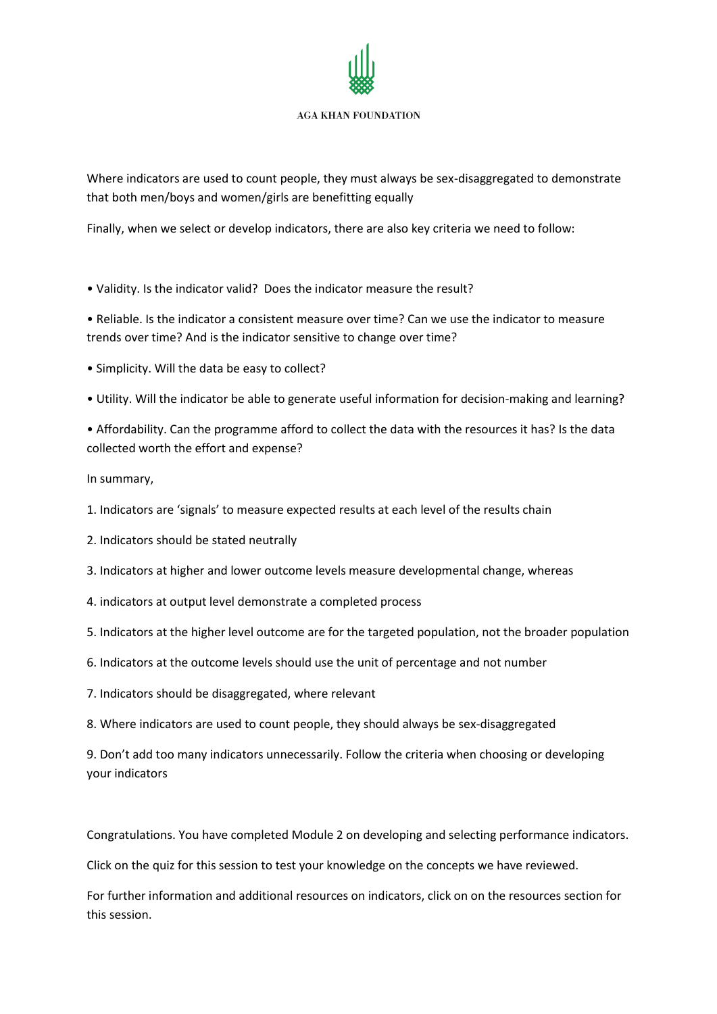Where indicators are used to count people, they must always be sex-disaggregated to demonstrate that both men/boys and women/girls are benefitting equally

Finally, when we select or develop indicators, there are also key criteria we need to follow:

• Validity. Is the indicator valid? Does the indicator measure the result?

• Reliable. Is the indicator a consistent measure over time? Can we use the indicator to measure trends over time? And is the indicator sensitive to change over time?

- Simplicity. Will the data be easy to collect?
- Utility. Will the indicator be able to generate useful information for decision-making and learning?
- Affordability. Can the programme afford to collect the data with the resources it has? Is the data collected worth the effort and expense?

In summary,

- 1. Indicators are 'signals' to measure expected results at each level of the results chain
- 2. Indicators should be stated neutrally
- 3. Indicators at higher and lower outcome levels measure developmental change, whereas
- 4. indicators at output level demonstrate a completed process
- 5. Indicators at the higher level outcome are for the targeted population, not the broader population
- 6. Indicators at the outcome levels should use the unit of percentage and not number
- 7. Indicators should be disaggregated, where relevant
- 8. Where indicators are used to count people, they should always be sex-disaggregated

9. Don't add too many indicators unnecessarily. Follow the criteria when choosing or developing your indicators

Congratulations. You have completed Module 2 on developing and selecting performance indicators.

Click on the quiz for this session to test your knowledge on the concepts we have reviewed.

For further information and additional resources on indicators, click on on the resources section for this session.